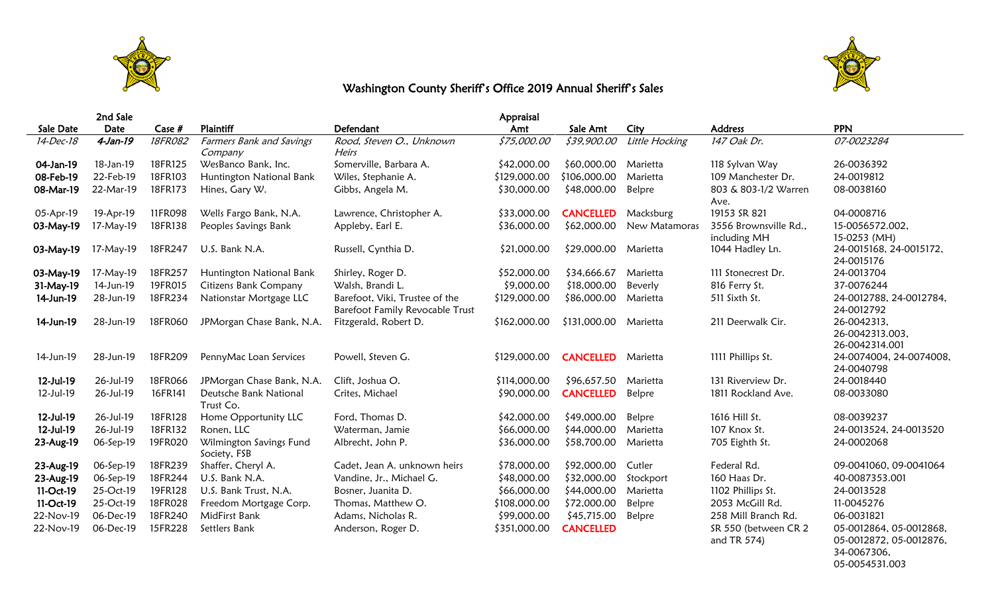



34-0067306, 05-0054531.003

## Washington County Sheriff's Office 2019 Annual Sheriff's Sales

|           | 2nd Sale  |         |                                         |                                                                   | Appraisal    |                      |                |                                       |                                                    |
|-----------|-----------|---------|-----------------------------------------|-------------------------------------------------------------------|--------------|----------------------|----------------|---------------------------------------|----------------------------------------------------|
| Sale Date | Date      | Case #  | Plaintiff                               | Defendant                                                         | Amt          | Sale Amt             | City           | <b>Address</b>                        | <b>PPN</b>                                         |
| 14-Dec-18 | 4-Jan-19  | 18FR082 | Farmers Bank and Savings<br>Company     | Rood, Steven O., Unknown<br>Heirs                                 | \$75,000.00  | \$39,900.00          | Little Hocking | 147 Oak Dr.                           | 07-0023284                                         |
| 04-Jan-19 | 18-Jan-19 | 18FR125 | WesBanco Bank, Inc.                     | Somerville, Barbara A.                                            | \$42,000.00  | \$60,000.00          | Marietta       | 118 Sylvan Way                        | 26-0036392                                         |
| 08-Feb-19 | 22-Feb-19 | 18FR103 | Huntington National Bank                | Wiles, Stephanie A.                                               | \$129,000.00 | \$106,000.00         | Marietta       | 109 Manchester Dr.                    | 24-0019812                                         |
| 08-Mar-19 | 22-Mar-19 | 18FR173 | Hines, Gary W.                          | Gibbs, Angela M.                                                  | \$30,000.00  | \$48,000.00          | Belpre         | 803 & 803-1/2 Warren<br>Ave.          | 08-0038160                                         |
| 05-Apr-19 | 19-Apr-19 | 11FR098 | Wells Fargo Bank, N.A.                  | Lawrence, Christopher A.                                          | \$33,000.00  | <b>CANCELLED</b>     | Macksburg      | 19153 SR 821                          | 04-0008716                                         |
| 03-May-19 | 17-May-19 | 18FR138 | Peoples Savings Bank                    | Appleby, Earl E.                                                  | \$36,000.00  | \$62,000.00          | New Matamoras  | 3556 Brownsville Rd.,<br>including MH | 15-0056572.002,<br>15-0253 (MH)                    |
| 03-May-19 | 17-May-19 | 18FR247 | U.S. Bank N.A.                          | Russell, Cynthia D.                                               | \$21,000.00  | \$29,000.00 Marietta |                | 1044 Hadley Ln.                       | 24-0015168, 24-0015172,<br>24-0015176              |
| 03-May-19 | 17-May-19 | 18FR257 | Huntington National Bank                | Shirley, Roger D.                                                 | \$52,000.00  | \$34,666.67          | Marietta       | 111 Stonecrest Dr.                    | 24-0013704                                         |
| 31-May-19 | 14-Jun-19 | 19FR015 | Citizens Bank Company                   | Walsh, Brandi L.                                                  | \$9,000.00   | \$18,000.00          | Beverly        | 816 Ferry St.                         | 37-0076244                                         |
| 14-Jun-19 | 28-Jun-19 | 18FR234 | Nationstar Mortgage LLC                 | Barefoot, Viki, Trustee of the<br>Barefoot Family Revocable Trust | \$129,000.00 | \$86,000.00          | Marietta       | 511 Sixth St.                         | 24-0012788, 24-0012784,<br>24-0012792              |
| 14-Jun-19 | 28-Jun-19 | 18FR060 | JPMorgan Chase Bank, N.A.               | Fitzgerald, Robert D.                                             | \$162,000.00 | \$131,000.00         | Marietta       | 211 Deerwalk Cir.                     | 26-0042313,<br>26-0042313.003,<br>26-0042314.001   |
| 14-Jun-19 | 28-Jun-19 | 18FR209 | PennyMac Loan Services                  | Powell, Steven G.                                                 | \$129,000.00 | <b>CANCELLED</b>     | Marietta       | 1111 Phillips St.                     | 24-0074004, 24-0074008,<br>24-0040798              |
| 12-Jul-19 | 26-Jul-19 | 18FR066 | JPMorgan Chase Bank, N.A.               | Clift, Joshua O.                                                  | \$114,000.00 | \$96,657.50          | Marietta       | 131 Riverview Dr.                     | 24-0018440                                         |
| 12-Jul-19 | 26-Jul-19 | 16FR141 | Deutsche Bank National<br>Trust Co.     | Crites, Michael                                                   | \$90,000.00  | <b>CANCELLED</b>     | Belpre         | 1811 Rockland Ave.                    | 08-0033080                                         |
| 12-Jul-19 | 26-Jul-19 | 18FR128 | Home Opportunity LLC                    | Ford, Thomas D.                                                   | \$42,000.00  | \$49,000.00          | Belpre         | 1616 Hill St.                         | 08-0039237                                         |
| 12-Jul-19 | 26-Jul-19 | 18FR132 | Ronen, LLC                              | Waterman, Jamie                                                   | \$66,000.00  | \$44,000.00          | Marietta       | 107 Knox St.                          | 24-0013524, 24-0013520                             |
| 23-Aug-19 | 06-Sep-19 | 19FR020 | Wilmington Savings Fund<br>Society, FSB | Albrecht, John P.                                                 | \$36,000.00  | \$58,700.00          | Marietta       | 705 Eighth St.                        | 24-0002068                                         |
| 23-Aug-19 | 06-Sep-19 | 18FR239 | Shaffer, Cheryl A.                      | Cadet, Jean A. unknown heirs                                      | \$78,000.00  | \$92,000.00          | Cutler         | Federal Rd.                           | 09-0041060, 09-0041064                             |
| 23-Aug-19 | 06-Sep-19 | 18FR244 | U.S. Bank N.A.                          | Vandine, Jr., Michael G.                                          | \$48,000.00  | \$32,000.00          | Stockport      | 160 Haas Dr.                          | 40-0087353.001                                     |
| 11-Oct-19 | 25-Oct-19 | 19FR128 | U.S. Bank Trust, N.A.                   | Bosner, Juanita D.                                                | \$66,000.00  | \$44,000.00          | Marietta       | 1102 Phillips St.                     | 24-0013528                                         |
| 11-Oct-19 | 25-Oct-19 | 18FR028 | Freedom Mortgage Corp.                  | Thomas, Matthew O.                                                | \$108,000.00 | \$72,000.00          | Belpre         | 2053 McGill Rd.                       | 11-0045276                                         |
| 22-Nov-19 | 06-Dec-19 | 18FR240 | MidFirst Bank                           | Adams, Nicholas R.                                                | \$99,000.00  | \$45,715.00          | Belpre         | 258 Mill Branch Rd.                   | 06-0031821                                         |
| 22-Nov-19 | 06-Dec-19 | 15FR228 | Settlers Bank                           | Anderson, Roger D.                                                | \$351,000.00 | <b>CANCELLED</b>     |                | SR 550 (between CR 2<br>and TR 574)   | 05-0012864, 05-0012868,<br>05-0012872, 05-0012876, |